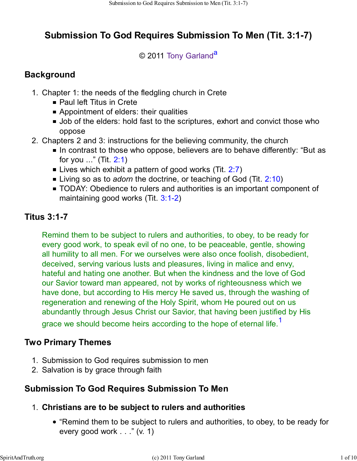# **Submission To God Requires Submission To Men (Tit. 3:1-7)**

# © 2011 Tony Garland<sup>a</sup>

# **Background**

- 1. Chapter 1: the needs of the fledgling church in Crete
	- Paul left Titus in Crete
	- **Appointment of elders: their qualities**
	- Job of the elders: hold fast to the scriptures, exhort and convict those who oppose
- 2. Chapters 2 and 3: instructions for the believing community, the church
	- In contrast to those who oppose, believers are to behave differently: "But as for you ..." (Tit.  $2:1$ )
	- **Example 1** Lives which exhibit a pattern of good works (Tit.  $2:7$ )
	- Living so as to *adorn* the doctrine, or teaching of God (Tit. 2:10)
	- **TODAY: Obedience to rulers and authorities is an important component of** maintaining good works (Tit. 3:1-2)

# **Titus 3:1-7**

Remind them to be subject to rulers and authorities, to obey, to be ready for every good work, to speak evil of no one, to be peaceable, gentle, showing all humility to all men. For we ourselves were also once foolish, disobedient, deceived, serving various lusts and pleasures, living in malice and envy, hateful and hating one another. But when the kindness and the love of God our Savior toward man appeared, not by works of righteousness which we have done, but according to His mercy He saved us, through the washing of regeneration and renewing of the Holy Spirit, whom He poured out on us abundantly through Jesus Christ our Savior, that having been justified by His grace we should become heirs according to the hope of eternal life.<sup>1</sup>

# **Two Primary Themes**

- 1. Submission to God requires submission to men
- 2. Salvation is by grace through faith

# **Submission To God Requires Submission To Men**

# **Christians are to be subject to rulers and authorities** 1.

• "Remind them to be subject to rulers and authorities, to obey, to be ready for every good work . . ." (v. 1)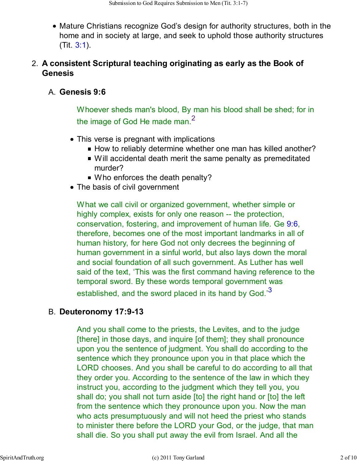Mature Christians recognize God's design for authority structures, both in the home and in society at large, and seek to uphold those authority structures (Tit. 3:1).

### **A consistent Scriptural teaching originating as early as the Book of** 2. **Genesis**

#### **Genesis 9:6** A.

Whoever sheds man's blood, By man his blood shall be shed; for in the image of God He made man.<sup>2</sup>

- This verse is pregnant with implications
	- How to reliably determine whether one man has killed another?
	- Will accidental death merit the same penalty as premeditated murder?
	- Who enforces the death penalty?
- The basis of civil government

What we call civil or organized government, whether simple or highly complex, exists for only one reason -- the protection, conservation, fostering, and improvement of human life. Ge 9:6, therefore, becomes one of the most important landmarks in all of human history, for here God not only decrees the beginning of human government in a sinful world, but also lays down the moral and social foundation of all such government. As Luther has well said of the text, 'This was the first command having reference to the temporal sword. By these words temporal government was established, and the sword placed in its hand by God.<sup>3</sup>

#### **Deuteronomy 17:9-13** B.

And you shall come to the priests, the Levites, and to the judge [there] in those days, and inquire [of them]; they shall pronounce upon you the sentence of judgment. You shall do according to the sentence which they pronounce upon you in that place which the LORD chooses. And you shall be careful to do according to all that they order you. According to the sentence of the law in which they instruct you, according to the judgment which they tell you, you shall do; you shall not turn aside [to] the right hand or [to] the left from the sentence which they pronounce upon you. Now the man who acts presumptuously and will not heed the priest who stands to minister there before the LORD your God, or the judge, that man shall die. So you shall put away the evil from Israel. And all the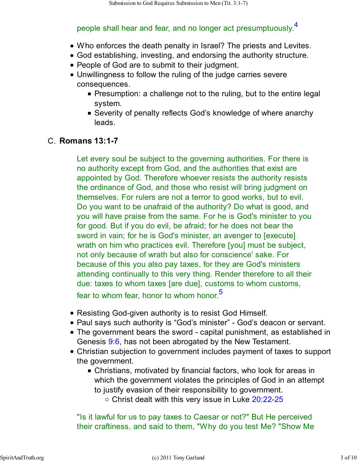people shall hear and fear, and no longer act presumptuously.<sup>4</sup>

- Who enforces the death penalty in Israel? The priests and Levites.
- God establishing, investing, and endorsing the authority structure.
- People of God are to submit to their judgment.
- Unwillingness to follow the ruling of the judge carries severe consequences.
	- **Presumption: a challenge not to the ruling, but to the entire legal** system.
	- Severity of penalty reflects God's knowledge of where anarchy leads.

# **Romans 13:1-7** C.

Let every soul be subject to the governing authorities. For there is no authority except from God, and the authorities that exist are appointed by God. Therefore whoever resists the authority resists the ordinance of God, and those who resist will bring judgment on themselves. For rulers are not a terror to good works, but to evil. Do you want to be unafraid of the authority? Do what is good, and you will have praise from the same. For he is God's minister to you for good. But if you do evil, be afraid; for he does not bear the sword in vain; for he is God's minister, an avenger to [execute] wrath on him who practices evil. Therefore [you] must be subject, not only because of wrath but also for conscience' sake. For because of this you also pay taxes, for they are God's ministers attending continually to this very thing. Render therefore to all their due: taxes to whom taxes [are due], customs to whom customs, fear to whom fear, honor to whom honor.<sup>5</sup>

- Resisting God-given authority is to resist God Himself.
- Paul says such authority is "God's minister" God's deacon or servant.
- The government bears the sword capital punishment, as established in Genesis 9:6, has not been abrogated by the New Testament.
- Christian subjection to government includes payment of taxes to support the government.
	- Christians, motivated by financial factors, who look for areas in which the government violates the principles of God in an attempt to justify evasion of their responsibility to government.
		- $\circ$  Christ dealt with this very issue in Luke 20:22-25

"Is it lawful for us to pay taxes to Caesar or not?" But He perceived their craftiness, and said to them, "Why do you test Me? "Show Me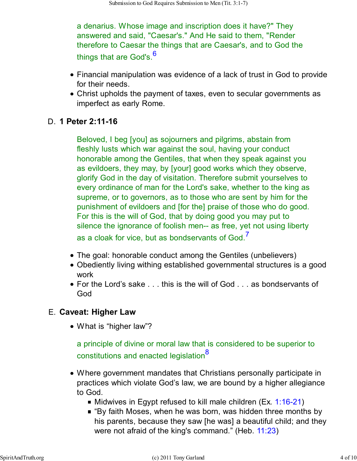a denarius. Whose image and inscription does it have?" They answered and said, "Caesar's." And He said to them, "Render therefore to Caesar the things that are Caesar's, and to God the things that are God's.<sup>6</sup>

- Financial manipulation was evidence of a lack of trust in God to provide for their needs.
- Christ upholds the payment of taxes, even to secular governments as imperfect as early Rome.

### **1 Peter 2:11-16** D.

Beloved, I beg [you] as sojourners and pilgrims, abstain from fleshly lusts which war against the soul, having your conduct honorable among the Gentiles, that when they speak against you as evildoers, they may, by [your] good works which they observe, glorify God in the day of visitation. Therefore submit yourselves to every ordinance of man for the Lord's sake, whether to the king as supreme, or to governors, as to those who are sent by him for the punishment of evildoers and [for the] praise of those who do good. For this is the will of God, that by doing good you may put to silence the ignorance of foolish men-- as free, yet not using liberty as a cloak for vice, but as bondservants of God.<sup>7</sup>

- The goal: honorable conduct among the Gentiles (unbelievers)
- Obediently living withing established governmental structures is a good work
- For the Lord's sake . . . this is the will of God . . . as bondservants of God

# **Caveat: Higher Law** E.

• What is "higher law"?

a principle of divine or moral law that is considered to be superior to constitutions and enacted legislation<sup>8</sup>

- Where government mandates that Christians personally participate in practices which violate God's law, we are bound by a higher allegiance to God.
	- $\blacksquare$  Midwives in Egypt refused to kill male children (Ex. 1:16-21)
	- "By faith Moses, when he was born, was hidden three months by his parents, because they saw [he was] a beautiful child; and they were not afraid of the king's command." (Heb. 11:23)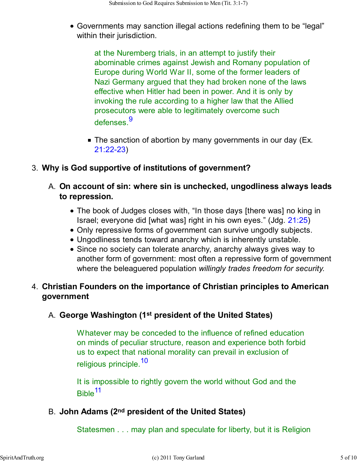Governments may sanction illegal actions redefining them to be "legal" within their jurisdiction.

at the Nuremberg trials, in an attempt to justify their abominable crimes against Jewish and Romany population of Europe during World War II, some of the former leaders of Nazi Germany argued that they had broken none of the laws effective when Hitler had been in power. And it is only by invoking the rule according to a higher law that the Allied prosecutors were able to legitimately overcome such defenses.<sup>9</sup>

■ The sanction of abortion by many governments in our day (Ex. 21:22-23)

#### 3. **Why is God supportive of institutions of government?**

- **On account of sin: where sin is unchecked, ungodliness always leads** A. **to repression.**
	- The book of Judges closes with, "In those days [there was] no king in Israel; everyone did [what was] right in his own eyes." (Jdg. 21:25)
	- Only repressive forms of government can survive ungodly subjects.
	- Ungodliness tends toward anarchy which is inherently unstable.
	- Since no society can tolerate anarchy, anarchy always gives way to another form of government: most often a repressive form of government where the beleaguered population *willingly trades freedom for security.*

### **Christian Founders on the importance of Christian principles to American** 4. **government**

### **George Washington (1st president of the United States)** A.

Whatever may be conceded to the influence of refined education on minds of peculiar structure, reason and experience both forbid us to expect that national morality can prevail in exclusion of religious principle.<sup>10</sup>

It is impossible to rightly govern the world without God and the Bible<sup>11</sup>

#### **John Adams (2nd president of the United States)** B.

Statesmen . . . may plan and speculate for liberty, but it is Religion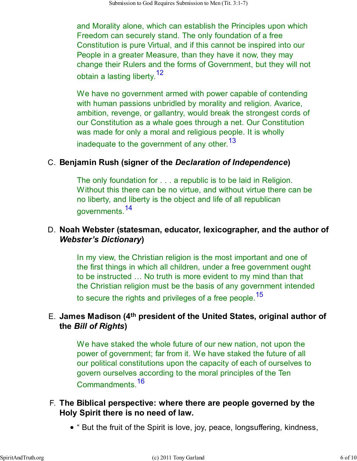and Morality alone, which can establish the Principles upon which Freedom can securely stand. The only foundation of a free Constitution is pure Virtual, and if this cannot be inspired into our People in a greater Measure, than they have it now, they may change their Rulers and the forms of Government, but they will not obtain a lasting liberty.<sup>12</sup>

We have no government armed with power capable of contending with human passions unbridled by morality and religion. Avarice, ambition, revenge, or gallantry, would break the strongest cords of our Constitution as a whale goes through a net. Our Constitution was made for only a moral and religious people. It is wholly inadequate to the government of any other.  $13$ 

#### **Benjamin Rush (signer of the** *Declaration of Independence***)** C.

The only foundation for . . . a republic is to be laid in Religion. Without this there can be no virtue, and without virtue there can be no liberty, and liberty is the object and life of all republican governments.<sup>14</sup>

### **Noah Webster (statesman, educator, lexicographer, and the author of** D. *Webster's Dictionary***)**

In my view, the Christian religion is the most important and one of the first things in which all children, under a free government ought to be instructed … No truth is more evident to my mind than that the Christian religion must be the basis of any government intended to secure the rights and privileges of a free people.<sup>15</sup>

### **James Madison (4th president of the United States, original author of** E. **the** *Bill of Rights***)**

We have staked the whole future of our new nation, not upon the power of government; far from it. We have staked the future of all our political constitutions upon the capacity of each of ourselves to govern ourselves according to the moral principles of the Ten Commandments.<sup>16</sup>

### **The Biblical perspective: where there are people governed by the** F. **Holy Spirit there is no need of law.**

• " But the fruit of the Spirit is love, joy, peace, longsuffering, kindness,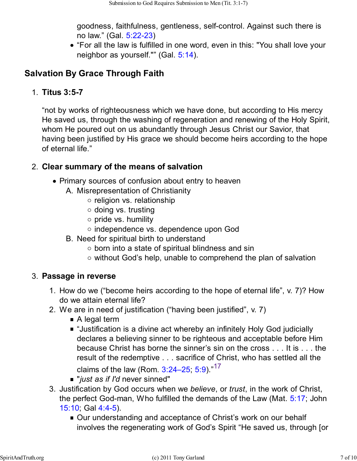goodness, faithfulness, gentleness, self-control. Against such there is no law." (Gal. 5:22-23)

"For all the law is fulfilled in one word, even in this: "You shall love your neighbor as yourself."" (Gal. 5:14).

# **Salvation By Grace Through Faith**

# **Titus 3:5-7** 1.

"not by works of righteousness which we have done, but according to His mercy He saved us, through the washing of regeneration and renewing of the Holy Spirit, whom He poured out on us abundantly through Jesus Christ our Savior, that having been justified by His grace we should become heirs according to the hope of eternal life."

# **Clear summary of the means of salvation** 2.

- Primary sources of confusion about entry to heaven
	- A. Misrepresentation of Christianity
		- $\circ$  religion vs. relationship
		- $\circ$  doing vs. trusting
		- $\circ$  pride vs. humility
		- o independence vs. dependence upon God
	- B. Need for spiritual birth to understand
		- $\circ$  born into a state of spiritual blindness and sin
		- $\circ$  without God's help, unable to comprehend the plan of salvation

# **Passage in reverse** 3.

- 1. How do we ("become heirs according to the hope of eternal life", v. 7)? How do we attain eternal life?
- 2. We are in need of justification ("having been justified", v. 7)
	- A legal term
	- "Justification is a divine act whereby an infinitely Holy God judicially declares a believing sinner to be righteous and acceptable before Him because Christ has borne the sinner's sin on the cross . . . It is . . . the result of the redemptive . . . sacrifice of Christ, who has settled all the claims of the law (Rom.  $3:24-25$ ; 5:9)."<sup>17</sup>
	- "*just as if I'd* never sinned"
- Justification by God occurs when we *believe*, or *trust*, in the work of Christ, 3. the perfect God-man, Who fulfilled the demands of the Law (Mat. 5:17; John 15:10; Gal 4:4-5).
	- Our understanding and acceptance of Christ's work on our behalf involves the regenerating work of God's Spirit "He saved us, through [or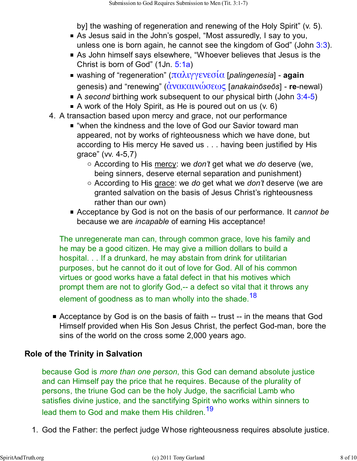by] the washing of regeneration and renewing of the Holy Spirit" (v. 5).

- As Jesus said in the John's gospel, "Most assuredly, I say to you, unless one is born again, he cannot see the kingdom of God" (John  $3:3$ ).
- As John himself says elsewhere, "Whoever believes that Jesus is the Christ is born of God" (1Jn. 5:1a)
- washing of "regeneration" (παλιγγενεσία [*palingenesia*] **again** genesis) and "renewing" (ἀνακαινώσεως [*anakainōseōs*] - **re**-newal)
- A *second* birthing work subsequent to our physical birth (John 3:4-5)
- A work of the Holy Spirit, as He is poured out on us (v. 6)
- 4. A transaction based upon mercy and grace, not our performance
	- "when the kindness and the love of God our Savior toward man appeared, not by works of righteousness which we have done, but according to His mercy He saved us . . . having been justified by His grace" (vv. 4-5,7)
		- According to His mercy: we *don't* get what we *do* deserve (we, being sinners, deserve eternal separation and punishment)
		- According to His grace: we *do* get what we *don't* deserve (we are granted salvation on the basis of Jesus Christ's righteousness rather than our own)
	- Acceptance by God is not on the basis of our performance. It *cannot be* because we are *incapable* of earning His acceptance!

The unregenerate man can, through common grace, love his family and he may be a good citizen. He may give a million dollars to build a hospital. . . If a drunkard, he may abstain from drink for utilitarian purposes, but he cannot do it out of love for God. All of his common virtues or good works have a fatal defect in that his motives which prompt them are not to glorify God,-- a defect so vital that it throws any element of goodness as to man wholly into the shade.<sup>18</sup>

■ Acceptance by God is on the basis of faith -- trust -- in the means that God Himself provided when His Son Jesus Christ, the perfect God-man, bore the sins of the world on the cross some 2,000 years ago.

# **Role of the Trinity in Salvation**

because God is *more than one person*, this God can demand absolute justice and can Himself pay the price that he requires. Because of the plurality of persons, the triune God can be the holy Judge, the sacrificial Lamb who satisfies divine justice, and the sanctifying Spirit who works within sinners to lead them to God and make them His children.<sup>19</sup>

1. God the Father: the perfect judge Whose righteousness requires absolute justice.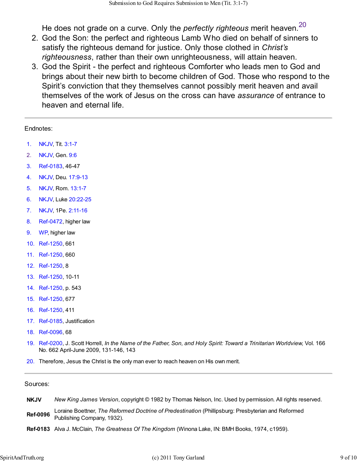He does not grade on a curve. Only the *perfectly righteous* merit heaven.<sup>20</sup>

- 2. God the Son: the perfect and righteous Lamb Who died on behalf of sinners to satisfy the righteous demand for justice. Only those clothed in *Christ's righteousness*, rather than their own unrighteousness, will attain heaven.
- 3. God the Spirit the perfect and righteous Comforter who leads men to God and brings about their new birth to become children of God. Those who respond to the Spirit's conviction that they themselves cannot possibly merit heaven and avail themselves of the work of Jesus on the cross can have *assurance* of entrance to heaven and eternal life.

#### Endnotes:

- 1. NKJV, Tit. 3:1-7
- 2. NKJV, Gen. 9:6
- 3. Ref-0183, 46-47
- 4. NKJV, Deu. 17:9-13
- 5. NKJV, Rom. 13:1-7
- 6. NKJV, Luke 20:22-25
- 7. NKJV, 1Pe. 2:11-16
- 8. Ref-0472, higher law
- 9. WP, higher law
- 10. Ref-1250, 661
- 11. Ref-1250, 660
- 12. Ref-1250, 8
- 13. Ref-1250, 10-11
- 14. Ref-1250, p. 543
- 15. Ref-1250, 677
- 16. Ref-1250, 411
- 17. Ref-0185, Justification
- 18. Ref-0096, 68
- 19. Ref-0200, J. Scott Horrell, *In the Name of the Father, Son, and Holy Spirit: Toward a Trinitarian Worldview,* Vol. 166 No. 662 April-June 2009, 131-146, 143
- 20. Therefore, Jesus the Christ is the only man ever to reach heaven on His own merit.

#### Sources:

| <b>NKJV</b>     | New King James Version, copyright © 1982 by Thomas Nelson, Inc. Used by permission. All rights reserved.                         |
|-----------------|----------------------------------------------------------------------------------------------------------------------------------|
| <b>Ref-0096</b> | Loraine Boettner, The Reformed Doctrine of Predestination (Phillipsburg: Presbyterian and Reformed<br>Publishing Company, 1932). |

**Ref-0183** Alva J. McClain, *The Greatness Of The Kingdom* (Winona Lake, IN: BMH Books, 1974, c1959).